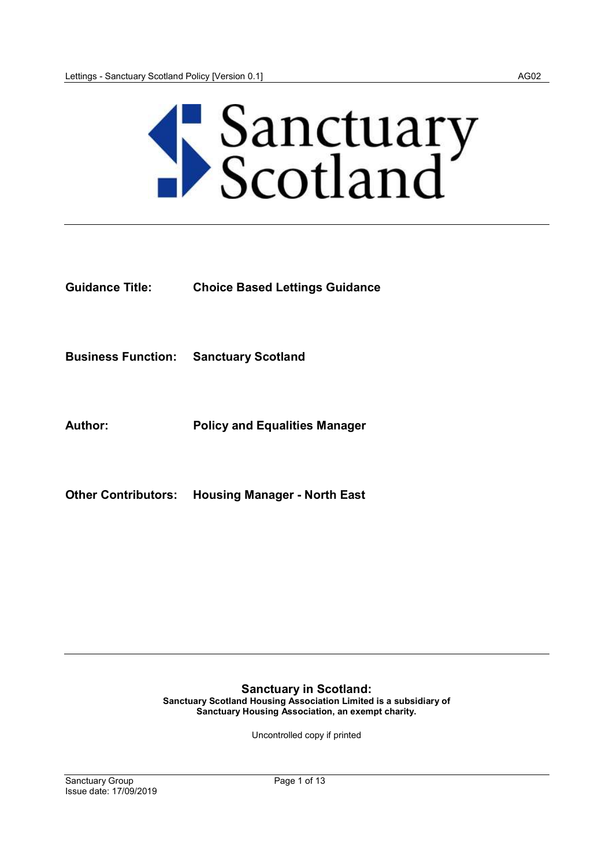

Guidance Title: Choice Based Lettings Guidance

Business Function: Sanctuary Scotland

Author: Policy and Equalities Manager

Other Contributors: Housing Manager - North East

Sanctuary in Scotland: Sanctuary Scotland Housing Association Limited is a subsidiary of Sanctuary Housing Association, an exempt charity.

Uncontrolled copy if printed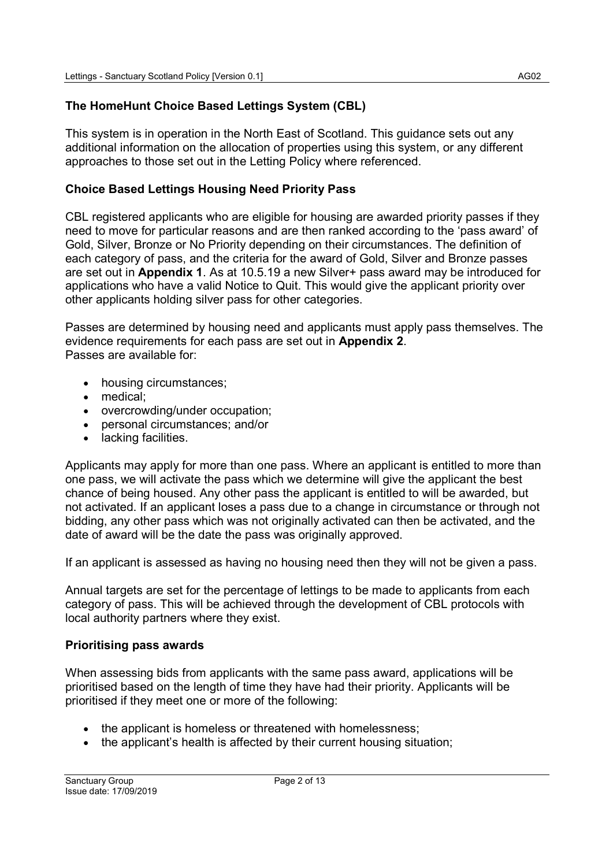# The HomeHunt Choice Based Lettings System (CBL)

This system is in operation in the North East of Scotland. This guidance sets out any additional information on the allocation of properties using this system, or any different approaches to those set out in the Letting Policy where referenced.

## Choice Based Lettings Housing Need Priority Pass

CBL registered applicants who are eligible for housing are awarded priority passes if they need to move for particular reasons and are then ranked according to the 'pass award' of Gold, Silver, Bronze or No Priority depending on their circumstances. The definition of each category of pass, and the criteria for the award of Gold, Silver and Bronze passes are set out in Appendix 1. As at 10.5.19 a new Silver+ pass award may be introduced for applications who have a valid Notice to Quit. This would give the applicant priority over other applicants holding silver pass for other categories.

Passes are determined by housing need and applicants must apply pass themselves. The evidence requirements for each pass are set out in **Appendix 2**. Passes are available for:

- housing circumstances;
- medical;
- overcrowding/under occupation;
- personal circumstances; and/or
- lacking facilities.

Applicants may apply for more than one pass. Where an applicant is entitled to more than one pass, we will activate the pass which we determine will give the applicant the best chance of being housed. Any other pass the applicant is entitled to will be awarded, but not activated. If an applicant loses a pass due to a change in circumstance or through not bidding, any other pass which was not originally activated can then be activated, and the date of award will be the date the pass was originally approved.

If an applicant is assessed as having no housing need then they will not be given a pass.

Annual targets are set for the percentage of lettings to be made to applicants from each category of pass. This will be achieved through the development of CBL protocols with local authority partners where they exist.

#### Prioritising pass awards

When assessing bids from applicants with the same pass award, applications will be prioritised based on the length of time they have had their priority. Applicants will be prioritised if they meet one or more of the following:

- the applicant is homeless or threatened with homelessness;
- the applicant's health is affected by their current housing situation;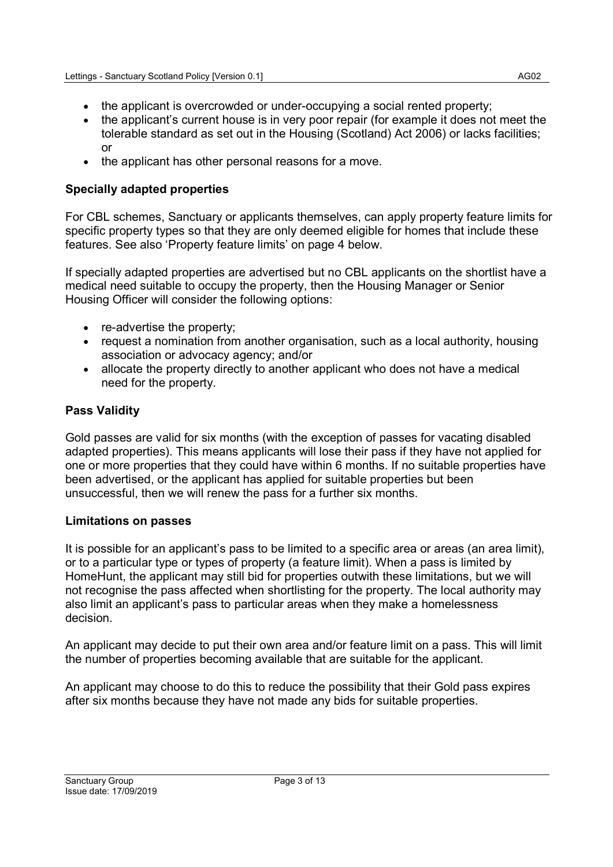- the applicant is overcrowded or under-occupying a social rented property;
- the applicant's current house is in very poor repair (for example it does not meet the tolerable standard as set out in the Housing (Scotland) Act 2006) or lacks facilities; or
- the applicant has other personal reasons for a move.

# Specially adapted properties

For CBL schemes, Sanctuary or applicants themselves, can apply property feature limits for specific property types so that they are only deemed eligible for homes that include these features. See also 'Property feature limits' on page 4 below.

If specially adapted properties are advertised but no CBL applicants on the shortlist have a medical need suitable to occupy the property, then the Housing Manager or Senior Housing Officer will consider the following options:

- re-advertise the property:
- request a nomination from another organisation, such as a local authority, housing association or advocacy agency; and/or
- allocate the property directly to another applicant who does not have a medical need for the property.

# Pass Validity

Gold passes are valid for six months (with the exception of passes for vacating disabled adapted properties). This means applicants will lose their pass if they have not applied for one or more properties that they could have within 6 months. If no suitable properties have been advertised, or the applicant has applied for suitable properties but been unsuccessful, then we will renew the pass for a further six months.

## Limitations on passes

It is possible for an applicant's pass to be limited to a specific area or areas (an area limit), or to a particular type or types of property (a feature limit). When a pass is limited by HomeHunt, the applicant may still bid for properties outwith these limitations, but we will not recognise the pass affected when shortlisting for the property. The local authority may also limit an applicant's pass to particular areas when they make a homelessness decision.

An applicant may decide to put their own area and/or feature limit on a pass. This will limit the number of properties becoming available that are suitable for the applicant.

An applicant may choose to do this to reduce the possibility that their Gold pass expires after six months because they have not made any bids for suitable properties.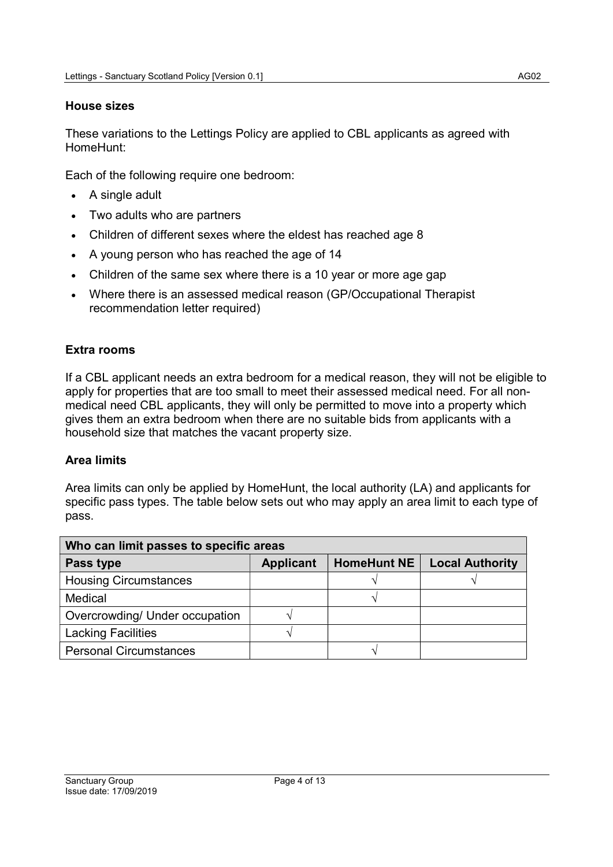#### House sizes

These variations to the Lettings Policy are applied to CBL applicants as agreed with HomeHunt:

Each of the following require one bedroom:

- A single adult
- Two adults who are partners
- Children of different sexes where the eldest has reached age 8
- A young person who has reached the age of 14
- Children of the same sex where there is a 10 year or more age gap
- Where there is an assessed medical reason (GP/Occupational Therapist recommendation letter required)

## Extra rooms

If a CBL applicant needs an extra bedroom for a medical reason, they will not be eligible to apply for properties that are too small to meet their assessed medical need. For all nonmedical need CBL applicants, they will only be permitted to move into a property which gives them an extra bedroom when there are no suitable bids from applicants with a household size that matches the vacant property size.

## Area limits

Area limits can only be applied by HomeHunt, the local authority (LA) and applicants for specific pass types. The table below sets out who may apply an area limit to each type of pass.

| Who can limit passes to specific areas |                  |                    |                        |  |
|----------------------------------------|------------------|--------------------|------------------------|--|
| Pass type                              | <b>Applicant</b> | <b>HomeHunt NE</b> | <b>Local Authority</b> |  |
| <b>Housing Circumstances</b>           |                  |                    |                        |  |
| Medical                                |                  |                    |                        |  |
| Overcrowding/ Under occupation         |                  |                    |                        |  |
| <b>Lacking Facilities</b>              |                  |                    |                        |  |
| <b>Personal Circumstances</b>          |                  |                    |                        |  |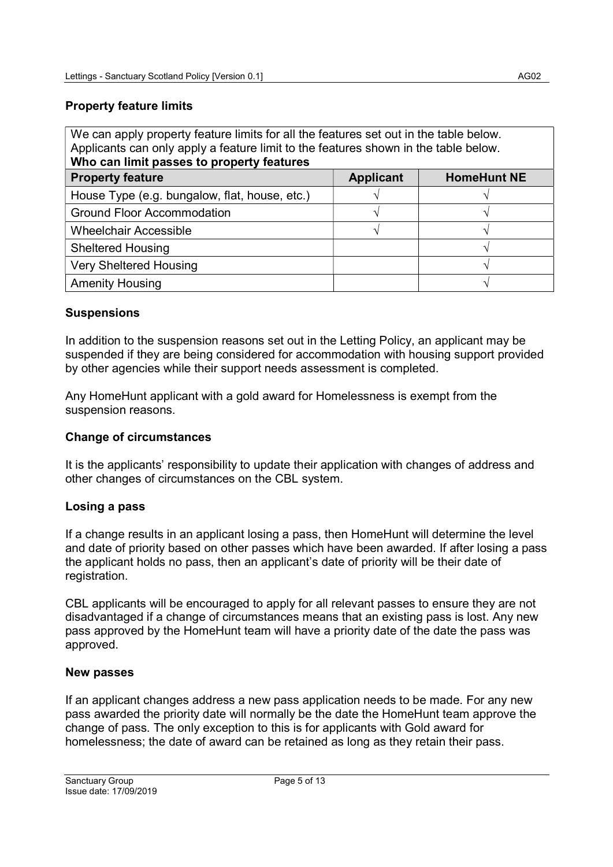# Property feature limits

| We can apply property feature limits for all the features set out in the table below.<br>Applicants can only apply a feature limit to the features shown in the table below.<br>Who can limit passes to property features |  |               |  |  |
|---------------------------------------------------------------------------------------------------------------------------------------------------------------------------------------------------------------------------|--|---------------|--|--|
| <b>HomeHunt NE</b><br><b>Property feature</b><br><b>Applicant</b>                                                                                                                                                         |  |               |  |  |
| House Type (e.g. bungalow, flat, house, etc.)                                                                                                                                                                             |  |               |  |  |
| <b>Ground Floor Accommodation</b>                                                                                                                                                                                         |  |               |  |  |
| <b>Wheelchair Accessible</b>                                                                                                                                                                                              |  | $\mathcal{N}$ |  |  |
| <b>Sheltered Housing</b>                                                                                                                                                                                                  |  |               |  |  |
| <b>Very Sheltered Housing</b>                                                                                                                                                                                             |  |               |  |  |
| <b>Amenity Housing</b>                                                                                                                                                                                                    |  |               |  |  |

## **Suspensions**

In addition to the suspension reasons set out in the Letting Policy, an applicant may be suspended if they are being considered for accommodation with housing support provided by other agencies while their support needs assessment is completed.

Any HomeHunt applicant with a gold award for Homelessness is exempt from the suspension reasons.

#### Change of circumstances

It is the applicants' responsibility to update their application with changes of address and other changes of circumstances on the CBL system.

#### Losing a pass

If a change results in an applicant losing a pass, then HomeHunt will determine the level and date of priority based on other passes which have been awarded. If after losing a pass the applicant holds no pass, then an applicant's date of priority will be their date of registration.

CBL applicants will be encouraged to apply for all relevant passes to ensure they are not disadvantaged if a change of circumstances means that an existing pass is lost. Any new pass approved by the HomeHunt team will have a priority date of the date the pass was approved.

#### New passes

If an applicant changes address a new pass application needs to be made. For any new pass awarded the priority date will normally be the date the HomeHunt team approve the change of pass. The only exception to this is for applicants with Gold award for homelessness; the date of award can be retained as long as they retain their pass.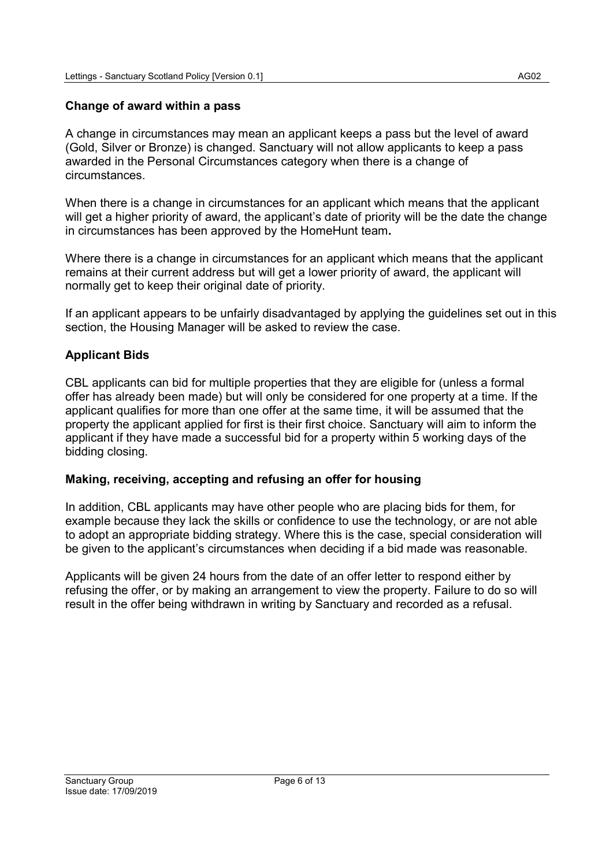#### Change of award within a pass

A change in circumstances may mean an applicant keeps a pass but the level of award (Gold, Silver or Bronze) is changed. Sanctuary will not allow applicants to keep a pass awarded in the Personal Circumstances category when there is a change of circumstances.

When there is a change in circumstances for an applicant which means that the applicant will get a higher priority of award, the applicant's date of priority will be the date the change in circumstances has been approved by the HomeHunt team.

Where there is a change in circumstances for an applicant which means that the applicant remains at their current address but will get a lower priority of award, the applicant will normally get to keep their original date of priority.

If an applicant appears to be unfairly disadvantaged by applying the guidelines set out in this section, the Housing Manager will be asked to review the case.

## Applicant Bids

CBL applicants can bid for multiple properties that they are eligible for (unless a formal offer has already been made) but will only be considered for one property at a time. If the applicant qualifies for more than one offer at the same time, it will be assumed that the property the applicant applied for first is their first choice. Sanctuary will aim to inform the applicant if they have made a successful bid for a property within 5 working days of the bidding closing.

#### Making, receiving, accepting and refusing an offer for housing

In addition, CBL applicants may have other people who are placing bids for them, for example because they lack the skills or confidence to use the technology, or are not able to adopt an appropriate bidding strategy. Where this is the case, special consideration will be given to the applicant's circumstances when deciding if a bid made was reasonable.

Applicants will be given 24 hours from the date of an offer letter to respond either by refusing the offer, or by making an arrangement to view the property. Failure to do so will result in the offer being withdrawn in writing by Sanctuary and recorded as a refusal.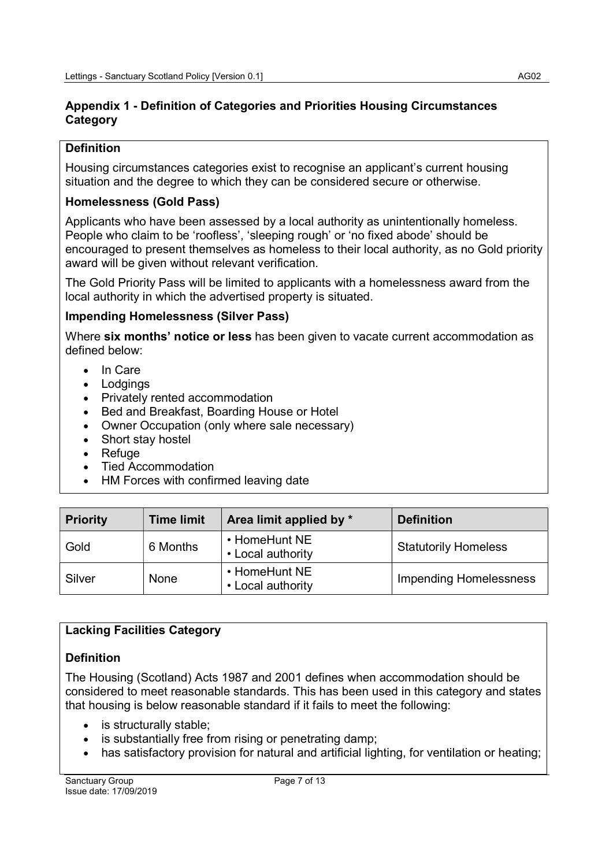## Appendix 1 - Definition of Categories and Priorities Housing Circumstances **Category**

## **Definition**

Housing circumstances categories exist to recognise an applicant's current housing situation and the degree to which they can be considered secure or otherwise.

# Homelessness (Gold Pass)

Applicants who have been assessed by a local authority as unintentionally homeless. People who claim to be 'roofless', 'sleeping rough' or 'no fixed abode' should be encouraged to present themselves as homeless to their local authority, as no Gold priority award will be given without relevant verification.

The Gold Priority Pass will be limited to applicants with a homelessness award from the local authority in which the advertised property is situated.

## Impending Homelessness (Silver Pass)

Where six months' notice or less has been given to vacate current accommodation as defined below:

- In Care
- Lodgings
- Privately rented accommodation
- Bed and Breakfast, Boarding House or Hotel
- Owner Occupation (only where sale necessary)
- Short stay hostel
- Refuge
- Tied Accommodation
- HM Forces with confirmed leaving date

| <b>Priority</b> | <b>Time limit</b> | Area limit applied by *            | <b>Definition</b>             |
|-----------------|-------------------|------------------------------------|-------------------------------|
| Gold            | 6 Months          | • HomeHunt NE<br>• Local authority | <b>Statutorily Homeless</b>   |
| Silver          | <b>None</b>       | • HomeHunt NE<br>• Local authority | <b>Impending Homelessness</b> |

# Lacking Facilities Category

# **Definition**

The Housing (Scotland) Acts 1987 and 2001 defines when accommodation should be considered to meet reasonable standards. This has been used in this category and states that housing is below reasonable standard if it fails to meet the following:

- is structurally stable;
- is substantially free from rising or penetrating damp;
- has satisfactory provision for natural and artificial lighting, for ventilation or heating;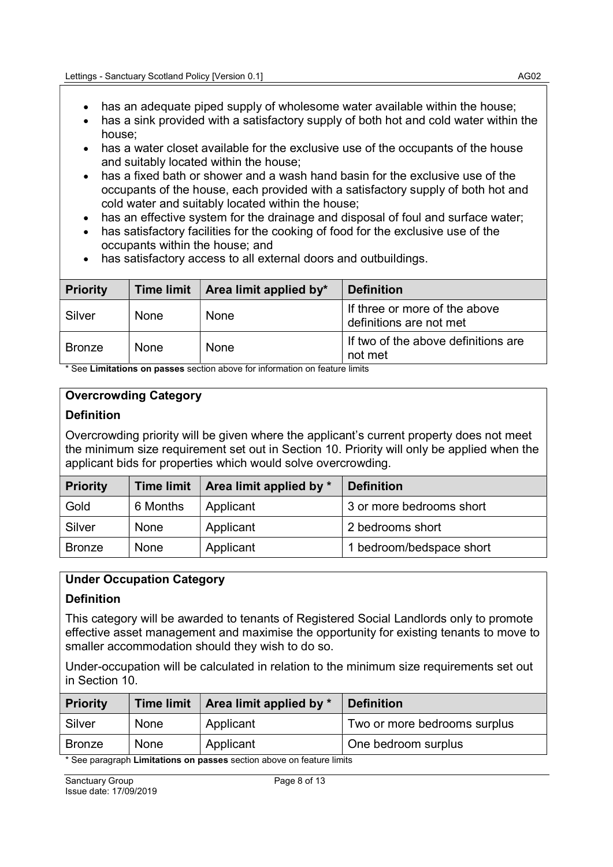- has an adequate piped supply of wholesome water available within the house;
- has a sink provided with a satisfactory supply of both hot and cold water within the house;
- has a water closet available for the exclusive use of the occupants of the house and suitably located within the house;
- has a fixed bath or shower and a wash hand basin for the exclusive use of the occupants of the house, each provided with a satisfactory supply of both hot and cold water and suitably located within the house;
- has an effective system for the drainage and disposal of foul and surface water;
- has satisfactory facilities for the cooking of food for the exclusive use of the occupants within the house; and
- has satisfactory access to all external doors and outbuildings.

| <b>Priority</b> | <b>Time limit</b> | <b>Area limit applied by*</b> | <b>Definition</b>                                        |
|-----------------|-------------------|-------------------------------|----------------------------------------------------------|
| Silver          | <b>None</b>       | None                          | If three or more of the above<br>definitions are not met |
| <b>Bronze</b>   | <b>None</b>       | None                          | If two of the above definitions are<br>not met           |

\* See Limitations on passes section above for information on feature limits

## Overcrowding Category

#### **Definition**

Overcrowding priority will be given where the applicant's current property does not meet the minimum size requirement set out in Section 10. Priority will only be applied when the applicant bids for properties which would solve overcrowding.

| <b>Priority</b> | <b>Time limit</b> | Area limit applied by * | <b>Definition</b>        |
|-----------------|-------------------|-------------------------|--------------------------|
| Gold            | 6 Months          | Applicant               | 3 or more bedrooms short |
| Silver          | None              | Applicant               | 2 bedrooms short         |
| <b>Bronze</b>   | None              | Applicant               | 1 bedroom/bedspace short |

## Under Occupation Category

## **Definition**

This category will be awarded to tenants of Registered Social Landlords only to promote effective asset management and maximise the opportunity for existing tenants to move to smaller accommodation should they wish to do so.

Under-occupation will be calculated in relation to the minimum size requirements set out in Section 10.

| <b>Priority</b>                                                        | <b>Time limit</b> | $\vert$ Area limit applied by $*$ | <b>Definition</b>            |
|------------------------------------------------------------------------|-------------------|-----------------------------------|------------------------------|
| Silver                                                                 | None              | Applicant                         | Two or more bedrooms surplus |
| <b>Bronze</b>                                                          | None              | Applicant                         | One bedroom surplus          |
| * See paragraph I imitations on passes section above on feature limits |                   |                                   |                              |

we on teature limits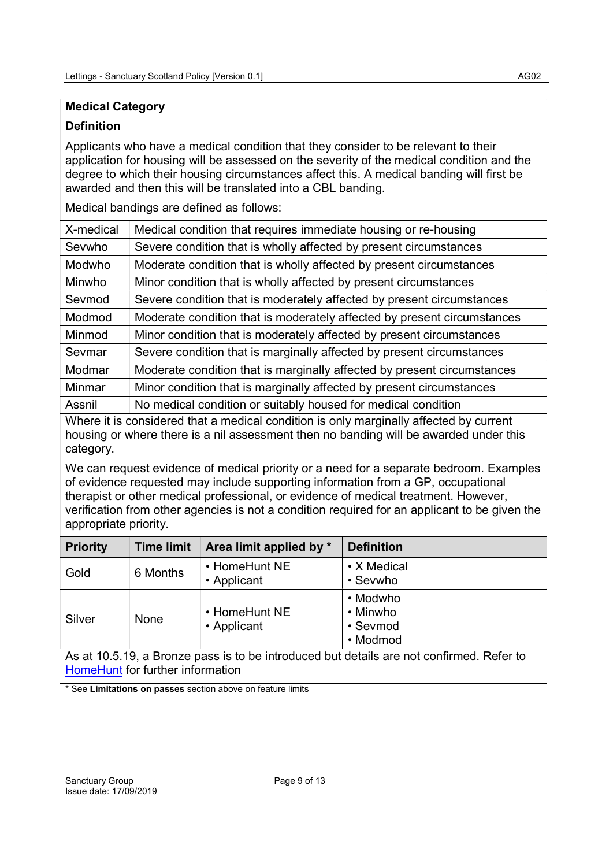# Medical Category

## Definition

Applicants who have a medical condition that they consider to be relevant to their application for housing will be assessed on the severity of the medical condition and the degree to which their housing circumstances affect this. A medical banding will first be awarded and then this will be translated into a CBL banding.

Medical bandings are defined as follows:

| X-medical | Medical condition that requires immediate housing or re-housing         |
|-----------|-------------------------------------------------------------------------|
| Sevwho    | Severe condition that is wholly affected by present circumstances       |
| Modwho    | Moderate condition that is wholly affected by present circumstances     |
| Minwho    | Minor condition that is wholly affected by present circumstances        |
| Sevmod    | Severe condition that is moderately affected by present circumstances   |
| Modmod    | Moderate condition that is moderately affected by present circumstances |
| Minmod    | Minor condition that is moderately affected by present circumstances    |
| Sevmar    | Severe condition that is marginally affected by present circumstances   |
| Modmar    | Moderate condition that is marginally affected by present circumstances |
| Minmar    | Minor condition that is marginally affected by present circumstances    |
| Assnil    | No medical condition or suitably housed for medical condition           |

Where it is considered that a medical condition is only marginally affected by current housing or where there is a nil assessment then no banding will be awarded under this category.

We can request evidence of medical priority or a need for a separate bedroom. Examples of evidence requested may include supporting information from a GP, occupational therapist or other medical professional, or evidence of medical treatment. However, verification from other agencies is not a condition required for an applicant to be given the appropriate priority.

| <b>Priority</b>                                                                          | <b>Time limit</b> | Area limit applied by *      | <b>Definition</b>                            |
|------------------------------------------------------------------------------------------|-------------------|------------------------------|----------------------------------------------|
| Gold                                                                                     | 6 Months          | • HomeHunt NE<br>• Applicant | • X Medical<br>• Sevwho                      |
| Silver                                                                                   | None              | • HomeHunt NE<br>• Applicant | • Modwho<br>• Minwho<br>• Sevmod<br>• Modmod |
| As at 10.5.19, a Bronze pass is to be introduced but details are not confirmed. Refer to |                   |                              |                                              |

HomeHunt for further information

\* See Limitations on passes section above on feature limits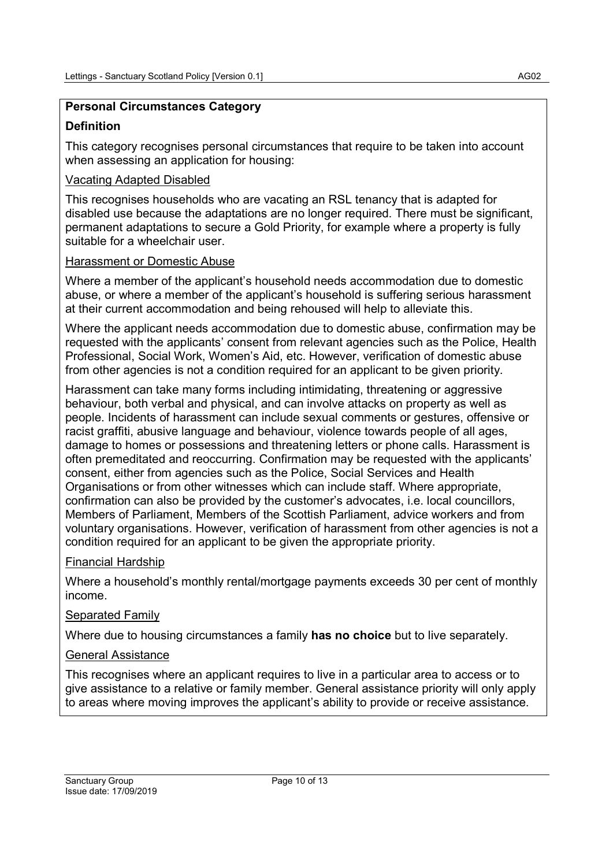# Personal Circumstances Category

## **Definition**

This category recognises personal circumstances that require to be taken into account when assessing an application for housing:

## Vacating Adapted Disabled

This recognises households who are vacating an RSL tenancy that is adapted for disabled use because the adaptations are no longer required. There must be significant, permanent adaptations to secure a Gold Priority, for example where a property is fully suitable for a wheelchair user.

## Harassment or Domestic Abuse

Where a member of the applicant's household needs accommodation due to domestic abuse, or where a member of the applicant's household is suffering serious harassment at their current accommodation and being rehoused will help to alleviate this.

Where the applicant needs accommodation due to domestic abuse, confirmation may be requested with the applicants' consent from relevant agencies such as the Police, Health Professional, Social Work, Women's Aid, etc. However, verification of domestic abuse from other agencies is not a condition required for an applicant to be given priority.

Harassment can take many forms including intimidating, threatening or aggressive behaviour, both verbal and physical, and can involve attacks on property as well as people. Incidents of harassment can include sexual comments or gestures, offensive or racist graffiti, abusive language and behaviour, violence towards people of all ages, damage to homes or possessions and threatening letters or phone calls. Harassment is often premeditated and reoccurring. Confirmation may be requested with the applicants' consent, either from agencies such as the Police, Social Services and Health Organisations or from other witnesses which can include staff. Where appropriate, confirmation can also be provided by the customer's advocates, i.e. local councillors, Members of Parliament, Members of the Scottish Parliament, advice workers and from voluntary organisations. However, verification of harassment from other agencies is not a condition required for an applicant to be given the appropriate priority.

## Financial Hardship

Where a household's monthly rental/mortgage payments exceeds 30 per cent of monthly income.

## Separated Family

Where due to housing circumstances a family has no choice but to live separately.

## General Assistance

This recognises where an applicant requires to live in a particular area to access or to give assistance to a relative or family member. General assistance priority will only apply to areas where moving improves the applicant's ability to provide or receive assistance.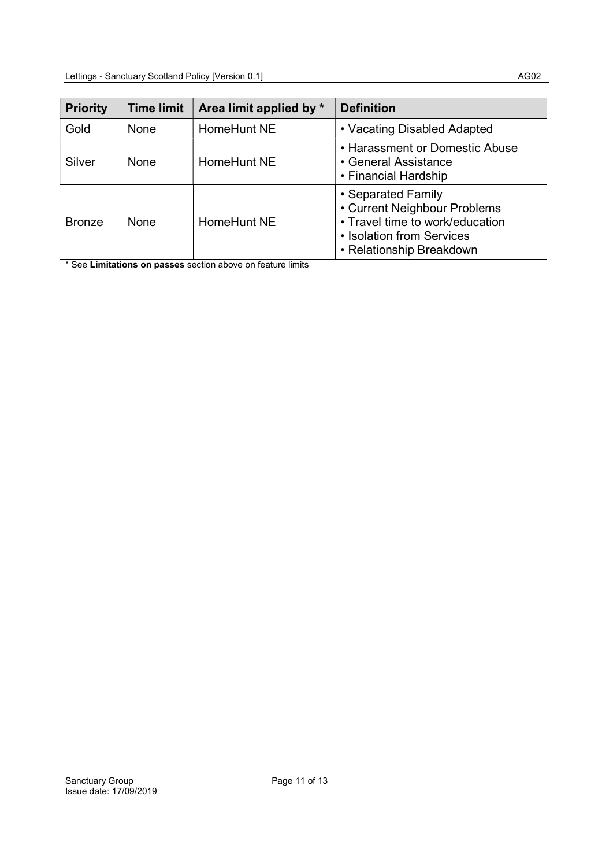| <b>Priority</b> | <b>Time limit</b> | Area limit applied by * | <b>Definition</b>                                                                                                                              |
|-----------------|-------------------|-------------------------|------------------------------------------------------------------------------------------------------------------------------------------------|
| Gold            | <b>None</b>       | HomeHunt NE             | • Vacating Disabled Adapted                                                                                                                    |
| Silver          | None              | HomeHunt NE             | • Harassment or Domestic Abuse<br>• General Assistance<br>• Financial Hardship                                                                 |
| <b>Bronze</b>   | None              | HomeHunt NE             | • Separated Family<br>• Current Neighbour Problems<br>• Travel time to work/education<br>• Isolation from Services<br>• Relationship Breakdown |

\* See Limitations on passes section above on feature limits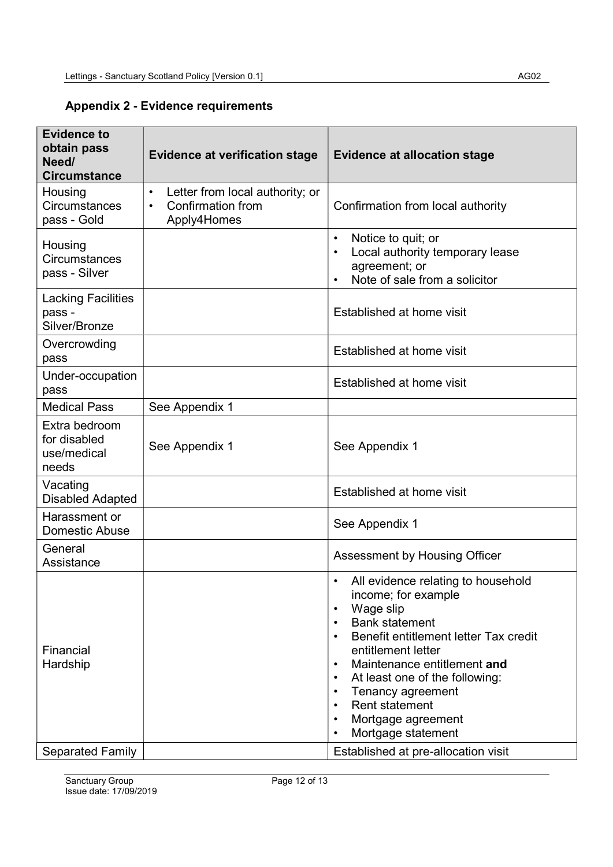## Appendix 2 - Evidence requirements

| <b>Evidence to</b><br>obtain pass<br>Need/<br><b>Circumstance</b> | <b>Evidence at verification stage</b>                                                   | <b>Evidence at allocation stage</b>                                                                                                                                                                                                                                                                                                                                                                             |
|-------------------------------------------------------------------|-----------------------------------------------------------------------------------------|-----------------------------------------------------------------------------------------------------------------------------------------------------------------------------------------------------------------------------------------------------------------------------------------------------------------------------------------------------------------------------------------------------------------|
| Housing<br><b>Circumstances</b><br>pass - Gold                    | Letter from local authority; or<br>$\bullet$<br><b>Confirmation from</b><br>Apply4Homes | Confirmation from local authority                                                                                                                                                                                                                                                                                                                                                                               |
| Housing<br><b>Circumstances</b><br>pass - Silver                  |                                                                                         | Notice to quit; or<br>$\bullet$<br>Local authority temporary lease<br>$\bullet$<br>agreement; or<br>Note of sale from a solicitor                                                                                                                                                                                                                                                                               |
| <b>Lacking Facilities</b><br>pass -<br>Silver/Bronze              |                                                                                         | Established at home visit                                                                                                                                                                                                                                                                                                                                                                                       |
| Overcrowding<br>pass                                              |                                                                                         | Established at home visit                                                                                                                                                                                                                                                                                                                                                                                       |
| Under-occupation<br>pass                                          |                                                                                         | Established at home visit                                                                                                                                                                                                                                                                                                                                                                                       |
| <b>Medical Pass</b>                                               | See Appendix 1                                                                          |                                                                                                                                                                                                                                                                                                                                                                                                                 |
| Extra bedroom<br>for disabled<br>use/medical<br>needs             | See Appendix 1                                                                          | See Appendix 1                                                                                                                                                                                                                                                                                                                                                                                                  |
| Vacating<br><b>Disabled Adapted</b>                               |                                                                                         | Established at home visit                                                                                                                                                                                                                                                                                                                                                                                       |
| Harassment or<br><b>Domestic Abuse</b>                            |                                                                                         | See Appendix 1                                                                                                                                                                                                                                                                                                                                                                                                  |
| General<br>Assistance<br>Financial<br>Hardship                    |                                                                                         | Assessment by Housing Officer<br>All evidence relating to household<br>$\bullet$<br>income; for example<br>Wage slip<br>$\bullet$<br><b>Bank statement</b><br>$\bullet$<br>Benefit entitlement letter Tax credit<br>$\bullet$<br>entitlement letter<br>Maintenance entitlement and<br>$\bullet$<br>At least one of the following:<br>$\bullet$<br>Tenancy agreement<br>$\bullet$<br>Rent statement<br>$\bullet$ |
| <b>Separated Family</b>                                           |                                                                                         | Mortgage agreement<br>$\bullet$<br>Mortgage statement<br>$\bullet$<br>Established at pre-allocation visit                                                                                                                                                                                                                                                                                                       |